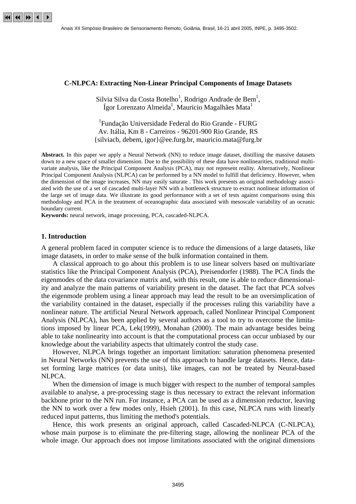

### **C-NLPCA: Extracting Non-Linear Principal Components of Image Datasets**

Silvia Silva da Costa Botelho<sup>1</sup>, Rodrigo Andrade de Bem<sup>1</sup>, Ígor Lorenzato Almeida<sup>1</sup>, Mauricio Magalhães Mata<sup>1</sup>

1 Fundação Universidade Federal do Rio Grande - FURG Av. Itália, Km 8 - Carreiros - 96201-900 Rio Grande, RS {silviacb, debem, igor}@ee.furg.br, mauricio.mata@furg.br

**Abstract.** In this paper we apply a Neural Network (NN) to reduce image dataset, distilling the massive datasets down to a new space of smaller dimension. Due to the possibility of these data have nonlinearities, traditional multivariate analysis, like the Principal Component Analysis (PCA), may not represent reality. Alternatively, Nonlinear Principal Component Analysis (NLPCA) can be performed by a NN model to fulfill that deficiency. However, when the dimension of the image increases, NN may easily saturate . This work presents an original methodology associated with the use of a set of cascaded multi-layer NN with a bottleneck structure to extract nonlinear information of the large set of image data. We illustrate its good performance with a set of tests against comparisons using this methodology and PCA in the treatment of oceanographic data associated with mesoscale variability of an oceanic boundary current.

**Keywords:** neural network, image processing, PCA, cascaded-NLPCA.

#### **1. Introduction**

A general problem faced in computer science is to reduce the dimensions of a large datasets, like image datasets, in order to make sense of the bulk information contained in them.

A classical approach to go about this problem is to use linear solvers based on multivariate statistics like the Principal Component Analysis (PCA), Preisendorfer (1988). The PCA finds the eigenmodes of the data covariance matrix and, with this result, one is able to reduce dimensionality and analyze the main patterns of variability present in the dataset. The fact that PCA solves the eigenmode problem using a linear approach may lead the result to be an oversimplication of the variability contained in the dataset, especially if the processes ruling this variability have a nonlinear nature. The artificial Neural Network approach, called Nonlinear Principal Component Analysis (NLPCA), has been applied by several authors as a tool to try to overcome the limitations imposed by linear PCA, Lek(1999), Monahan (2000). The main advantage besides being able to take nonlinearity into account is that the computational process can occur unbiased by our knowledge about the variability aspects that ultimately control the study case.

However, NLPCA brings together an important limitation: saturation phenomena presented in Neural Networks (NN) prevents the use of this approach to handle large datasets. Hence, dataset forming large matrices (or data units), like images, can not be treated by Neural-based NLPCA.

When the dimension of image is much bigger with respect to the number of temporal samples available to analyse, a pre-processing stage is thus necessary to extract the relevant information backbone prior to the NN run. For instance, a PCA can be used as a dimension reductor, leaving the NN to work over a few modes only, Hsieh (2001). In this case, NLPCA runs with linearly reduced input patterns, thus limiting the method's potentials.

Hence, this work presents an original approach, called Cascaded-NLPCA (C-NLPCA), whose main purpose is to eliminate the pre-filtering stage, allowing the nonlinear PCA of the whole image. Our approach does not impose limitations associated with the original dimensions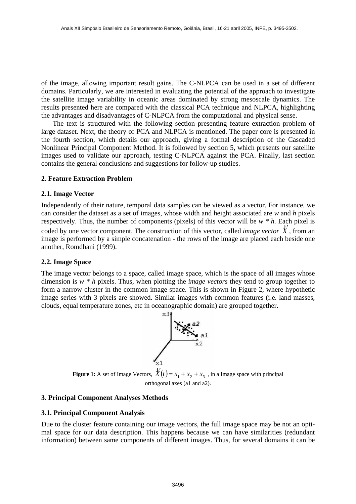of the image, allowing important result gains. The C-NLPCA can be used in a set of different domains. Particularly, we are interested in evaluating the potential of the approach to investigate the satellite image variability in oceanic areas dominated by strong mesoscale dynamics. The results presented here are compared with the classical PCA technique and NLPCA, highlighting the advantages and disadvantages of C-NLPCA from the computational and physical sense.

The text is structured with the following section presenting feature extraction problem of large dataset. Next, the theory of PCA and NLPCA is mentioned. The paper core is presented in the fourth section, which details our approach, giving a formal description of the Cascaded Nonlinear Principal Component Method. It is followed by section 5, which presents our satellite images used to validate our approach, testing C-NLPCA against the PCA. Finally, last section contains the general conclusions and suggestions for follow-up studies.

## **2. Feature Extraction Problem**

## **2.1. Image Vector**

Independently of their nature, temporal data samples can be viewed as a vector. For instance, we can consider the dataset as a set of images, whose width and height associated are *w* and *h* pixels respectively. Thus, the number of components (pixels) of this vector will be *w \* h*. Each pixel is coded by one vector component. The construction of this vector, called *image vector X* ιι<br>Ρ , from an image is performed by a simple concatenation - the rows of the image are placed each beside one another, Romdhani (1999).

### **2.2. Image Space**

The image vector belongs to a space, called image space, which is the space of all images whose dimension is *w \* h* pixels. Thus, when plotting the *image vectors* they tend to group together to form a narrow cluster in the common image space. This is shown in Figure 2, where hypothetic image series with 3 pixels are showed. Similar images with common features (i.e. land masses, clouds, equal temperature zones, etc in oceanographic domain) are grouped together.



### **3. Principal Component Analyses Methods**

### **3.1. Principal Component Analysis**

Due to the cluster feature containing our image vectors, the full image space may be not an optimal space for our data description. This happens because we can have similarities (redundant information) between same components of different images. Thus, for several domains it can be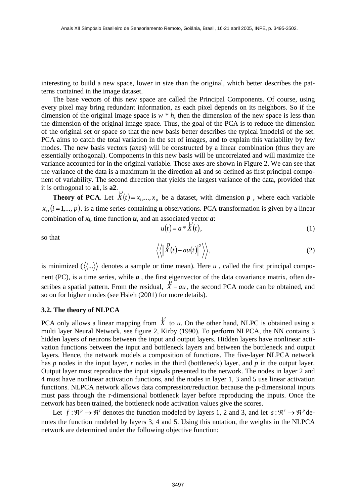interesting to build a new space, lower in size than the original, which better describes the patterns contained in the image dataset.

The base vectors of this new space are called the Principal Components. Of course, using every pixel may bring redundant information, as each pixel depends on its neighbors. So if the dimension of the original image space is  $w * h$ , then the dimension of the new space is less than the dimension of the original image space. Thus, the goal of the PCA is to reduce the dimension of the original set or space so that the new basis better describes the typical îmodelsî of the set. PCA aims to catch the total variation in the set of images, and to explain this variability by few modes. The new basis vectors (axes) will be constructed by a linear combination (thus they are essentially orthogonal). Components in this new basis will be uncorrelated and will maximize the variance accounted for in the original variable. Those axes are shown in Figure 2. We can see that the variance of the data is a maximum in the direction **a1** and so defined as first principal component of variability. The second direction that yields the largest variance of the data, provided that it is orthogonal to **a1**, is **a2**.

**Theory of PCA**. Let  $X(t) = x_1,...,x_p$  be a dataset, with dimension *p*, where each variable  $x_i$ ,  $(i = 1, ..., p)$ , is a time series containing **n** observations. PCA transformation is given by a linear combination of  $x_i$ , time function  $u$ , and an associated vector  $a$ :

associated vector 
$$
\boldsymbol{u}
$$
.  
\n
$$
u(t) = a * \overset{V}{X}(t),
$$
\n(1)

so that

$$
\left\langle \left\langle \left\| \hat{X}(t) - au(t) \right\|^2 \right\rangle \right\rangle, \tag{2}
$$

is minimized  $(\langle ... \rangle)$  denotes a sample or time mean). Here *u*, called the first principal component (PC), is a time series, while  $a$ , the first eigenvector of the data covariance matrix, often describes a spatial pattern. From the residual, *X* − *au*, the second PCA mode can be obtained, and scribes a spatial pattern. From the residual, *X* − *au*, the second PCA mode can be obtained, and so on for higher modes (see Hsieh (2001) for more details).

### **3.2. The theory of NLPCA**

PCA only allows a linear mapping from *X* ρ to *u*. On the other hand, NLPC is obtained using a multi layer Neural Network, see figure 2, Kirby (1990). To perform NLPCA, the NN contains 3 hidden layers of neurons between the input and output layers. Hidden layers have nonlinear activation functions between the input and bottleneck layers and between the bottleneck and output layers. Hence, the network models a composition of functions. The five-layer NLPCA network has *p* nodes in the input layer, *r* nodes in the third (bottleneck) layer, and *p* in the output layer. Output layer must reproduce the input signals presented to the network. The nodes in layer 2 and 4 must have nonlinear activation functions, and the nodes in layer 1, 3 and 5 use linear activation functions. NLPCA network allows data compression/reduction because the p-dimensional inputs must pass through the r-dimensional bottleneck layer before reproducing the inputs. Once the network has been trained, the bottleneck node activation values give the scores.

Let  $f: \mathbb{R}^p \to \mathbb{R}^r$  denotes the function modeled by layers 1, 2 and 3, and let  $s: \mathbb{R}^r \to \mathbb{R}^p$  denotes the function modeled by layers 3, 4 and 5. Using this notation, the weights in the NLPCA network are determined under the following objective function: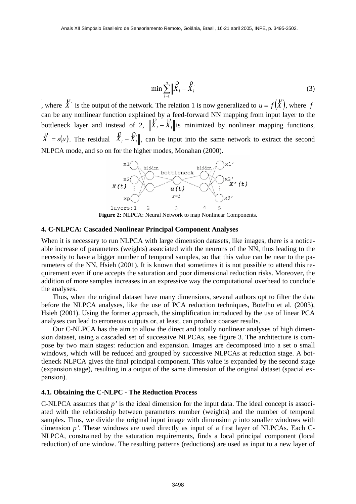$$
\min \sum_{l=1}^{n} \left\| \hat{X}_{l} - \hat{X}_{l} \right\| \tag{3}
$$

where  $\overline{X}$  is the output of the network. The relation 1 is now generalized to  $u = f(\overline{X})$ , where f can be any nonlinear function explained by a feed-forward NN mapping from input layer to the bottleneck layer and instead of 2,  $\|\vec{X}_l - \vec{X}_l\|$  is minimized by nonlinear mapping functions,  $\hat{X} = s(u)$ . The residual  $\|\hat{X}_i - \hat{X}_i\|$ , can be input into the same network to extract the second NLPCA mode, and so on for the higher modes, Monahan (2000).



**Figure 2:** NLPCA: Neural Network to map Nonlinear Components.

## **4. C-NLPCA: Cascaded Nonlinear Principal Component Analyses**

When it is necessary to run NLPCA with large dimension datasets, like images, there is a noticeable increase of parameters (weights) associated with the neurons of the NN, thus leading to the necessity to have a bigger number of temporal samples, so that this value can be near to the parameters of the NN, Hsieh (2001). It is known that sometimes it is not possible to attend this requirement even if one accepts the saturation and poor dimensional reduction risks. Moreover, the addition of more samples increases in an expressive way the computational overhead to conclude the analyses.

Thus, when the original dataset have many dimensions, several authors opt to filter the data before the NLPCA analyses, like the use of PCA reduction techniques, Botelho et al. (2003), Hsieh (2001). Using the former approach, the simplification introduced by the use of linear PCA analyses can lead to erroneous outputs or, at least, can produce coarser results.

Our C-NLPCA has the aim to allow the direct and totally nonlinear analyses of high dimension dataset, using a cascaded set of successive NLPCAs, see figure 3. The architecture is compose by two main stages: reduction and expansion. Images are decomposed into a set o small windows, which will be reduced and grouped by successive NLPCAs at reduction stage. A bottleneck NLPCA gives the final principal component. This value is expanded by the second stage (expansion stage), resulting in a output of the same dimension of the original dataset (spacial expansion).

### **4.1. Obtaining the C-NLPC - The Reduction Process**

C-NLPCA assumes that *p'* is the ideal dimension for the input data. The ideal concept is associated with the relationship between parameters number (weights) and the number of temporal samples. Thus, we divide the original input image with dimension  $p$  into smaller windows with dimension *p'*. These windows are used directly as input of a first layer of NLPCAs. Each C-NLPCA, constrained by the saturation requirements, finds a local principal component (local reduction) of one window. The resulting patterns (reductions) are used as input to a new layer of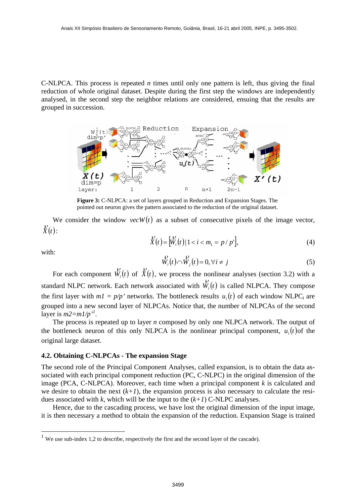C-NLPCA. This process is repeated *n* times until only one pattern is left, thus giving the final reduction of whole original dataset. Despite during the first step the windows are independently analysed, in the second step the neighbor relations are considered, ensuing that the results are grouped in succession.



**Figure 3:** C-NLPCA: a set of layers grouped in Reduction and Expansion Stages. The pointed out neuron gives the pattern associated to the reduction of the original dataset.

We consider the window  $\text{vec}W(t)$  as a subset of consecutive pixels of the image vector,  $\dot{X}(t)$ ρ :

$$
\mathcal{X}(t) = [\mathcal{W}_i(t) | 1 < i < m_1 = p / p']\tag{4}
$$

with:

 $\overline{\phantom{a}}$ 

$$
\overrightarrow{W}_i(t) \cap \overrightarrow{W}_j(t) = 0, \forall i \neq j
$$
 (5)

For each component  $W_i(t)$  of  $X(t)$ , we process the nonlinear analyses (section 3.2) with a standard NLPC network. Each network associated with  $W_i(t)$  is called NLPCA. They compose the first layer with  $mI = p/p'$  networks. The bottleneck results  $u_i(t)$  of each window NLPC<sub>i</sub> are grouped into a new second layer of NLPCAs. Notice that, the number of NLPCAs of the second layer is  $m2 = m1/p^3$ .

The process is repeated up to layer *n* composed by only one NLPCA network. The output of the bottleneck neuron of this only NLPCA is the nonlinear principal component,  $u_1(t)$  of the original large dataset.

# **4.2. Obtaining C-NLPCAs - The expansion Stage**

The second role of the Principal Component Analyses, called expansion, is to obtain the data associated with each principal component reduction (PC, C-NLPC) in the original dimension of the image (PCA, C-NLPCA). Moreover, each time when a principal component *k* is calculated and we desire to obtain the next  $(k+1)$ , the expansion process is also necessary to calculate the residues associated with  $k$ , which will be the input to the  $(k+1)$  C-NLPC analyses.

Hence, due to the cascading process, we have lost the original dimension of the input image, it is then necessary a method to obtain the expansion of the reduction. Expansion Stage is trained

 $1$  We use sub-index 1,2 to describe, respectively the first and the second layer of the cascade).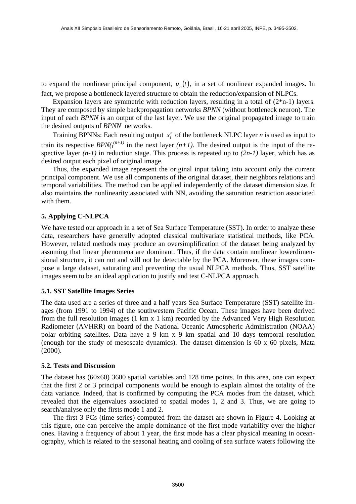to expand the nonlinear principal component,  $u_n(t)$ , in a set of nonlinear expanded images. In fact, we propose a bottleneck layered structure to obtain the reduction/expansion of NLPCs.

Expansion layers are symmetric with reduction layers, resulting in a total of  $(2<sup>*</sup>n-1)$  layers. They are composed by simple backpropagation networks *BPNN* (without bottleneck neuron). The input of each *BPNN* is an output of the last layer. We use the original propagated image to train the desired outputs of *BPNN* networks.

Training BPNNs: Each resulting output  $x_i^n$  of the bottleneck NLPC layer *n* is used as input to train its respective  $BPN(I^{(n+1)}$  in the next layer  $(n+1)$ . The desired output is the input of the respective layer *(n-1)* in reduction stage. This process is repeated up to *(2n-1)* layer, which has as desired output each pixel of original image.

Thus, the expanded image represent the original input taking into account only the current principal component. We use all components of the original dataset, their neighbors relations and temporal variabilities. The method can be applied independently of the dataset dimension size. It also maintains the nonlinearity associated with NN, avoiding the saturation restriction associated with them.

# **5. Applying C-NLPCA**

We have tested our approach in a set of Sea Surface Temperature (SST). In order to analyze these data, researchers have generally adopted classical multivariate statistical methods, like PCA. However, related methods may produce an oversimplification of the dataset being analyzed by assuming that linear phenomena are dominant. Thus, if the data contain nonlinear lowerdimensional structure, it can not and will not be detectable by the PCA. Moreover, these images compose a large dataset, saturating and preventing the usual NLPCA methods. Thus, SST satellite images seem to be an ideal application to justify and test C-NLPCA approach.

### **5.1. SST Satellite Images Series**

The data used are a series of three and a half years Sea Surface Temperature (SST) satellite images (from 1991 to 1994) of the southwestern Pacific Ocean. These images have been derived from the full resolution images (1 km x 1 km) recorded by the Advanced Very High Resolution Radiometer (AVHRR) on board of the National Oceanic Atmospheric Administration (NOAA) polar orbiting satellites. Data have a 9 km x 9 km spatial and 10 days temporal resolution (enough for the study of mesoscale dynamics). The dataset dimension is 60 x 60 pixels, Mata (2000).

### **5.2. Tests and Discussion**

The dataset has (60x60) 3600 spatial variables and 128 time points. In this area, one can expect that the first 2 or 3 principal components would be enough to explain almost the totality of the data variance. Indeed, that is confirmed by computing the PCA modes from the dataset, which revealed that the eigenvalues associated to spatial modes 1, 2 and 3. Thus, we are going to search/analyse only the firsts mode 1 and 2.

The first 3 PCs (time series) computed from the dataset are shown in Figure 4. Looking at this figure, one can perceive the ample dominance of the first mode variability over the higher ones. Having a frequency of about 1 year, the first mode has a clear physical meaning in oceanography, which is related to the seasonal heating and cooling of sea surface waters following the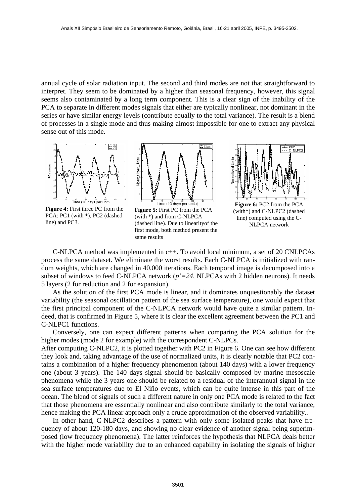annual cycle of solar radiation input. The second and third modes are not that straightforward to interpret. They seem to be dominated by a higher than seasonal frequency, however, this signal seems also contaminated by a long term component. This is a clear sign of the inability of the PCA to separate in different modes signals that either are typically nonlinear, not dominant in the series or have similar energy levels (contribute equally to the total variance). The result is a blend of processes in a single mode and thus making almost impossible for one to extract any physical sense out of this mode.



**Figure 4:** First three PC from the PCA: PC1 (with \*), PC2 (dashed line) and PC3.







**Figure 6:** PC2 from the PCA (with\*) and C-NLPC2 (dashed line) computed using the C-NLPCA network

C-NLPCA method was implemented in c++. To avoid local minimum, a set of 20 CNLPCAs process the same dataset. We eliminate the worst results. Each C-NLPCA is initialized with random weights, which are changed in 40.000 iterations. Each temporal image is decomposed into a subset of windows to feed C-NLPCA network  $(p'=24, \text{NLPCAs with } 2 \text{ hidden neurons})$ . It needs 5 layers (2 for reduction and 2 for expansion).

As the solution of the first PCA mode is linear, and it dominates unquestionably the dataset variability (the seasonal oscillation pattern of the sea surface temperature), one would expect that the first principal component of the C-NLPCA network would have quite a similar pattern. Indeed, that is confirmed in Figure 5, where it is clear the excellent agreement between the PC1 and C-NLPC1 functions.

Conversely, one can expect different patterns when comparing the PCA solution for the higher modes (mode 2 for example) with the correspondent C-NLPCs.

After computing C-NLPC2, it is plotted together with PC2 in Figure 6. One can see how different they look and, taking advantage of the use of normalized units, it is clearly notable that PC2 contains a combination of a higher frequency phenomenon (about 140 days) with a lower frequency one (about 3 years). The 140 days signal should be basically composed by marine mesoscale phenomena while the 3 years one should be related to a residual of the interannual signal in the sea surface temperatures due to El Niño events, which can be quite intense in this part of the ocean. The blend of signals of such a different nature in only one PCA mode is related to the fact that those phenomena are essentially nonlinear and also contribute similarly to the total variance, hence making the PCA linear approach only a crude approximation of the observed variability..

In other hand, C-NLPC2 describes a pattern with only some isolated peaks that have frequency of about 120-180 days, and showing no clear evidence of another signal being superimposed (low frequency phenomena). The latter reinforces the hypothesis that NLPCA deals better with the higher mode variability due to an enhanced capability in isolating the signals of higher